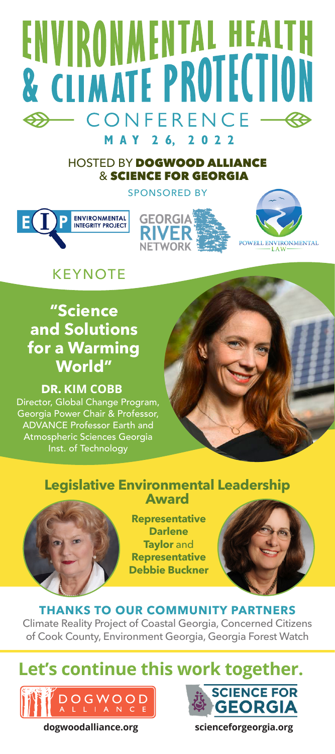# ENVIRONMENTAL HEALTH **& CLIMATE PROTECTION** CONFERENCE - $\bigoplus$ MAY 26, 2022

### HOSTED BY DOGWOOD ALLIANCE & SCIENCE FOR GEORGIA SPONSORED BY







## **KFYNOTF**

## **"Science and Solutions for a Warming World"**

**DR. KIM COBB** Director, Global Change Program, Georgia Power Chair & Professor, ADVANCE Professor Earth and Atmospheric Sciences Georgia Inst. of Technology



### **Legislative Environmental Leadership Award**



**Representative Darlene Taylor** and **Representative Debbie Buckner**



## **THANKS TO OUR COMMUNITY PARTNERS**

Climate Reality Project of Coastal Georgia, Concerned Citizens of Cook County, Environment Georgia, Georgia Forest Watch

## **Let's continue this work together.**





**dogwoodalliance.org scienceforgeorgia.org**